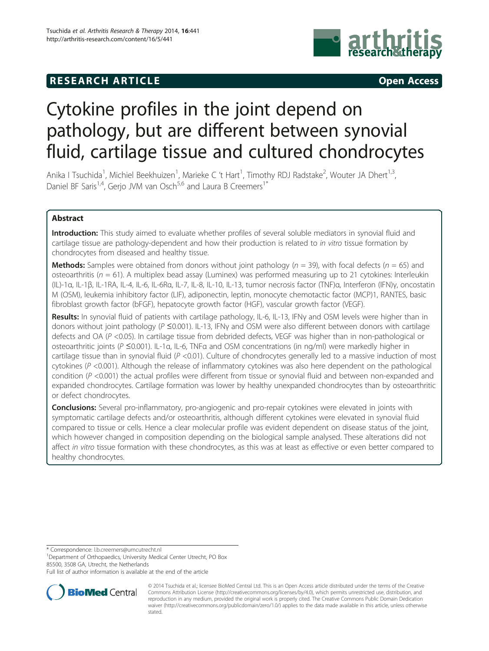## **RESEARCH ARTICLE** EXAMPLE THE OPEN ACCESS OPEN ACCESS



# Cytokine profiles in the joint depend on pathology, but are different between synovial fluid, cartilage tissue and cultured chondrocytes

Anika I Tsuchida<sup>1</sup>, Michiel Beekhuizen<sup>1</sup>, Marieke C 't Hart<sup>1</sup>, Timothy RDJ Radstake<sup>2</sup>, Wouter JA Dhert<sup>1,3</sup>, Daniel BF Saris<sup>1,4</sup>, Gerio JVM van Osch<sup>5,6</sup> and Laura B Creemers<sup>1\*</sup>

## Abstract

Introduction: This study aimed to evaluate whether profiles of several soluble mediators in synovial fluid and cartilage tissue are pathology-dependent and how their production is related to *in vitro* tissue formation by chondrocytes from diseased and healthy tissue.

**Methods:** Samples were obtained from donors without joint pathology ( $n = 39$ ), with focal defects ( $n = 65$ ) and osteoarthritis (n = 61). A multiplex bead assay (Luminex) was performed measuring up to 21 cytokines: Interleukin (IL)-1α, IL-1β, IL-1RA, IL-4, IL-6, IL-6Rα, IL-7, IL-8, IL-10, IL-13, tumor necrosis factor (TNF)α, Interferon (IFN)γ, oncostatin M (OSM), leukemia inhibitory factor (LIF), adiponectin, leptin, monocyte chemotactic factor (MCP)1, RANTES, basic fibroblast growth factor (bFGF), hepatocyte growth factor (HGF), vascular growth factor (VEGF).

Results: In synovial fluid of patients with cartilage pathology, IL-6, IL-13, IFNy and OSM levels were higher than in donors without joint pathology (P ≤0.001). IL-13, IFNγ and OSM were also different between donors with cartilage defects and OA (P <0.05). In cartilage tissue from debrided defects, VEGF was higher than in non-pathological or osteoarthritic joints (P ≤0.001). IL-1α, IL-6, TNFα and OSM concentrations (in ng/ml) were markedly higher in cartilage tissue than in synovial fluid ( $P < 0.01$ ). Culture of chondrocytes generally led to a massive induction of most cytokines ( $P$  <0.001). Although the release of inflammatory cytokines was also here dependent on the pathological condition (P <0.001) the actual profiles were different from tissue or synovial fluid and between non-expanded and expanded chondrocytes. Cartilage formation was lower by healthy unexpanded chondrocytes than by osteoarthritic or defect chondrocytes.

**Conclusions:** Several pro-inflammatory, pro-angiogenic and pro-repair cytokines were elevated in joints with symptomatic cartilage defects and/or osteoarthritis, although different cytokines were elevated in synovial fluid compared to tissue or cells. Hence a clear molecular profile was evident dependent on disease status of the joint, which however changed in composition depending on the biological sample analysed. These alterations did not affect in vitro tissue formation with these chondrocytes, as this was at least as effective or even better compared to healthy chondrocytes.

\* Correspondence: [l.b.creemers@umcutrecht.nl](mailto:l.b.creemers@umcutrecht.nl) <sup>1</sup>

<sup>1</sup>Department of Orthopaedics, University Medical Center Utrecht, PO Box 85500, 3508 GA, Utrecht, the Netherlands

Full list of author information is available at the end of the article



© 2014 Tsuchida et al.; licensee BioMed Central Ltd. This is an Open Access article distributed under the terms of the Creative Commons Attribution License [\(http://creativecommons.org/licenses/by/4.0\)](http://creativecommons.org/licenses/by/4.0), which permits unrestricted use, distribution, and reproduction in any medium, provided the original work is properly cited. The Creative Commons Public Domain Dedication waiver [\(http://creativecommons.org/publicdomain/zero/1.0/\)](http://creativecommons.org/publicdomain/zero/1.0/) applies to the data made available in this article, unless otherwise stated.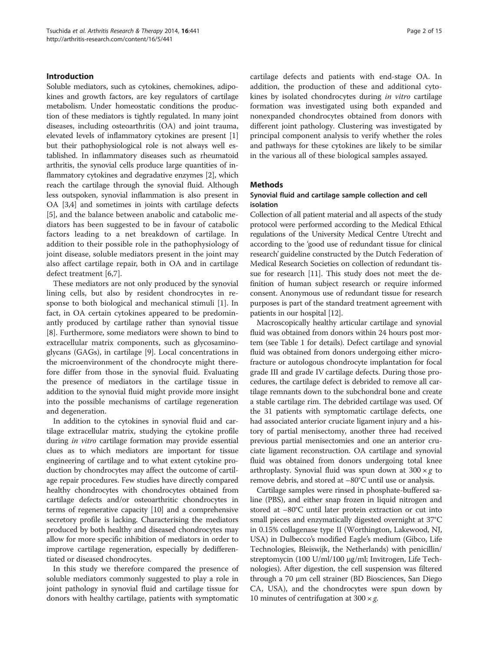## Introduction

Soluble mediators, such as cytokines, chemokines, adipokines and growth factors, are key regulators of cartilage metabolism. Under homeostatic conditions the production of these mediators is tightly regulated. In many joint diseases, including osteoarthritis (OA) and joint trauma, elevated levels of inflammatory cytokines are present [[1](#page-13-0)] but their pathophysiological role is not always well established. In inflammatory diseases such as rheumatoid arthritis, the synovial cells produce large quantities of inflammatory cytokines and degradative enzymes [\[2](#page-13-0)], which reach the cartilage through the synovial fluid. Although less outspoken, synovial inflammation is also present in OA [[3,4](#page-13-0)] and sometimes in joints with cartilage defects [[5\]](#page-13-0), and the balance between anabolic and catabolic mediators has been suggested to be in favour of catabolic factors leading to a net breakdown of cartilage. In addition to their possible role in the pathophysiology of joint disease, soluble mediators present in the joint may also affect cartilage repair, both in OA and in cartilage defect treatment [[6,7](#page-13-0)].

These mediators are not only produced by the synovial lining cells, but also by resident chondrocytes in response to both biological and mechanical stimuli [\[1\]](#page-13-0). In fact, in OA certain cytokines appeared to be predominantly produced by cartilage rather than synovial tissue [[8\]](#page-13-0). Furthermore, some mediators were shown to bind to extracellular matrix components, such as glycosaminoglycans (GAGs), in cartilage [\[9](#page-13-0)]. Local concentrations in the microenvironment of the chondrocyte might therefore differ from those in the synovial fluid. Evaluating the presence of mediators in the cartilage tissue in addition to the synovial fluid might provide more insight into the possible mechanisms of cartilage regeneration and degeneration.

In addition to the cytokines in synovial fluid and cartilage extracellular matrix, studying the cytokine profile during *in vitro* cartilage formation may provide essential clues as to which mediators are important for tissue engineering of cartilage and to what extent cytokine production by chondrocytes may affect the outcome of cartilage repair procedures. Few studies have directly compared healthy chondrocytes with chondrocytes obtained from cartilage defects and/or osteoarthritic chondrocytes in terms of regenerative capacity [[10](#page-13-0)] and a comprehensive secretory profile is lacking. Characterising the mediators produced by both healthy and diseased chondrocytes may allow for more specific inhibition of mediators in order to improve cartilage regeneration, especially by dedifferentiated or diseased chondrocytes.

In this study we therefore compared the presence of soluble mediators commonly suggested to play a role in joint pathology in synovial fluid and cartilage tissue for donors with healthy cartilage, patients with symptomatic

cartilage defects and patients with end-stage OA. In addition, the production of these and additional cytokines by isolated chondrocytes during in vitro cartilage formation was investigated using both expanded and nonexpanded chondrocytes obtained from donors with different joint pathology. Clustering was investigated by principal component analysis to verify whether the roles and pathways for these cytokines are likely to be similar in the various all of these biological samples assayed.

## **Methods**

## Synovial fluid and cartilage sample collection and cell isolation

Collection of all patient material and all aspects of the study protocol were performed according to the Medical Ethical regulations of the University Medical Centre Utrecht and according to the 'good use of redundant tissue for clinical research' guideline constructed by the Dutch Federation of Medical Research Societies on collection of redundant tissue for research [\[11\]](#page-13-0). This study does not meet the definition of human subject research or require informed consent. Anonymous use of redundant tissue for research purposes is part of the standard treatment agreement with patients in our hospital [[12\]](#page-13-0).

Macroscopically healthy articular cartilage and synovial fluid was obtained from donors within 24 hours post mortem (see Table [1](#page-2-0) for details). Defect cartilage and synovial fluid was obtained from donors undergoing either microfracture or autologous chondrocyte implantation for focal grade III and grade IV cartilage defects. During those procedures, the cartilage defect is debrided to remove all cartilage remnants down to the subchondral bone and create a stable cartilage rim. The debrided cartilage was used. Of the 31 patients with symptomatic cartilage defects, one had associated anterior cruciate ligament injury and a history of partial menisectomy, another three had received previous partial menisectomies and one an anterior cruciate ligament reconstruction. OA cartilage and synovial fluid was obtained from donors undergoing total knee arthroplasty. Synovial fluid was spun down at  $300 \times g$  to remove debris, and stored at –80°C until use or analysis.

Cartilage samples were rinsed in phosphate-buffered saline (PBS), and either snap frozen in liquid nitrogen and stored at –80°C until later protein extraction or cut into small pieces and enzymatically digested overnight at 37°C in 0.15% collagenase type II (Worthington, Lakewood, NJ, USA) in Dulbecco's modified Eagle's medium (Gibco, Life Technologies, Bleiswijk, the Netherlands) with penicillin/ streptomycin (100 U/ml/100 μg/ml; Invitrogen, Life Technologies). After digestion, the cell suspension was filtered through a 70 μm cell strainer (BD Biosciences, San Diego CA, USA), and the chondrocytes were spun down by 10 minutes of centrifugation at  $300 \times g$ .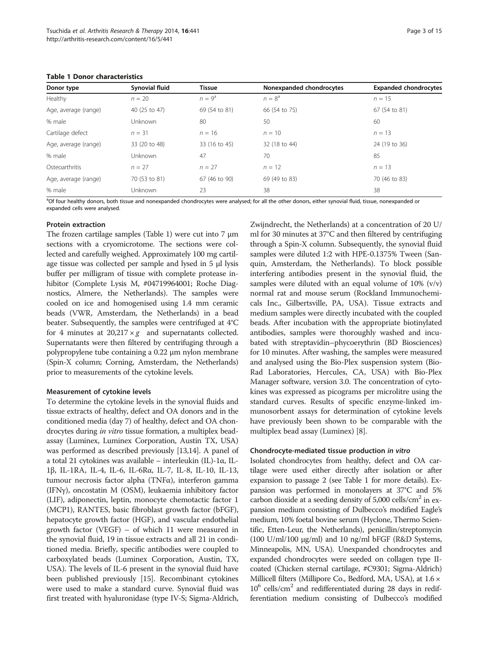| Donor type           | <b>Synovial fluid</b> | <b>Tissue</b> | Nonexpanded chondrocytes | <b>Expanded chondrocytes</b> |
|----------------------|-----------------------|---------------|--------------------------|------------------------------|
| Healthy              | $n = 20$              | $n = 9^a$     | $n = 8a$                 | $n = 15$                     |
| Age, average (range) | 40 (25 to 47)         | 69 (54 to 81) | 66 (54 to 75)            | 67 (54 to 81)                |
| % male               | Unknown               | 80            | 50                       | 60                           |
| Cartilage defect     | $n = 31$              | $n = 16$      | $n = 10$                 | $n = 13$                     |
| Age, average (range) | 33 (20 to 48)         | 33 (16 to 45) | 32 (18 to 44)            | 24 (19 to 36)                |
| % male               | Unknown               | 47            | 70                       | 85                           |
| Osteoarthritis       | $n = 27$              | $n = 27$      | $n = 12$                 | $n = 13$                     |
| Age, average (range) | 70 (53 to 81)         | 67 (46 to 90) | 69 (49 to 83)            | 70 (46 to 83)                |
| % male               | Unknown               | 23            | 38                       | 38                           |

#### <span id="page-2-0"></span>Table 1 Donor characteristics

<sup>a</sup>Of four healthy donors, both tissue and nonexpanded chondrocytes were analysed; for all the other donors, either synovial fluid, tissue, nonexpanded or expanded cells were analysed.

#### Protein extraction

The frozen cartilage samples (Table 1) were cut into 7 μm sections with a cryomicrotome. The sections were collected and carefully weighed. Approximately 100 mg cartilage tissue was collected per sample and lysed in 5 μl lysis buffer per milligram of tissue with complete protease inhibitor (Complete Lysis M, #04719964001; Roche Diagnostics, Almere, the Netherlands). The samples were cooled on ice and homogenised using 1.4 mm ceramic beads (VWR, Amsterdam, the Netherlands) in a bead beater. Subsequently, the samples were centrifuged at 4°C for 4 minutes at  $20,217 \times g$  and supernatants collected. Supernatants were then filtered by centrifuging through a polypropylene tube containing a 0.22 μm nylon membrane (Spin-X column; Corning, Amsterdam, the Netherlands) prior to measurements of the cytokine levels.

#### Measurement of cytokine levels

To determine the cytokine levels in the synovial fluids and tissue extracts of healthy, defect and OA donors and in the conditioned media (day 7) of healthy, defect and OA chondrocytes during in vitro tissue formation, a multiplex beadassay (Luminex, Luminex Corporation, Austin TX, USA) was performed as described previously [\[13,14](#page-13-0)]. A panel of a total 21 cytokines was available – interleukin (IL)-1α, IL-1β, IL-1RA, IL-4, IL-6, IL-6Rα, IL-7, IL-8, IL-10, IL-13, tumour necrosis factor alpha (TNFα), interferon gamma (IFNγ), oncostatin M (OSM), leukaemia inhibitory factor (LIF), adiponectin, leptin, monocyte chemotactic factor 1 (MCP1), RANTES, basic fibroblast growth factor (bFGF), hepatocyte growth factor (HGF), and vascular endothelial growth factor (VEGF) – of which 11 were measured in the synovial fluid, 19 in tissue extracts and all 21 in conditioned media. Briefly, specific antibodies were coupled to carboxylated beads (Luminex Corporation, Austin, TX, USA). The levels of IL-6 present in the synovial fluid have been published previously [\[15\]](#page-13-0). Recombinant cytokines were used to make a standard curve. Synovial fluid was first treated with hyaluronidase (type IV-S; Sigma-Aldrich,

Zwijndrecht, the Netherlands) at a concentration of 20 U/ ml for 30 minutes at 37°C and then filtered by centrifuging through a Spin-X column. Subsequently, the synovial fluid samples were diluted 1:2 with HPE-0.1375% Tween (Sanquin, Amsterdam, the Netherlands). To block possible interfering antibodies present in the synovial fluid, the samples were diluted with an equal volume of  $10\%$  (v/v) normal rat and mouse serum (Rockland Immunochemicals Inc., Gilbertsville, PA, USA). Tissue extracts and medium samples were directly incubated with the coupled beads. After incubation with the appropriate biotinylated antibodies, samples were thoroughly washed and incubated with streptavidin–phycoerythrin (BD Biosciences) for 10 minutes. After washing, the samples were measured and analysed using the Bio-Plex suspension system (Bio-Rad Laboratories, Hercules, CA, USA) with Bio-Plex Manager software, version 3.0. The concentration of cytokines was expressed as picograms per microlitre using the standard curves. Results of specific enzyme-linked immunosorbent assays for determination of cytokine levels have previously been shown to be comparable with the multiplex bead assay (Luminex) [\[8](#page-13-0)].

#### Chondrocyte-mediated tissue production in vitro

Isolated chondrocytes from healthy, defect and OA cartilage were used either directly after isolation or after expansion to passage 2 (see Table 1 for more details). Expansion was performed in monolayers at 37°C and 5% carbon dioxide at a seeding density of  $5,000$  cells/cm<sup>2</sup> in expansion medium consisting of Dulbecco's modified Eagle's medium, 10% foetal bovine serum (Hyclone, Thermo Scientific, Etten-Leur, the Netherlands), penicillin/streptomycin (100 U/ml/100 μg/ml) and 10 ng/ml bFGF (R&D Systems, Minneapolis, MN, USA). Unexpanded chondrocytes and expanded chondrocytes were seeded on collagen type IIcoated (Chicken sternal cartilage, #C9301; Sigma-Aldrich) Millicell filters (Millipore Co., Bedford, MA, USA), at 1.6 ×  $10^6$  cells/cm<sup>2</sup> and redifferentiated during 28 days in redifferentiation medium consisting of Dulbecco's modified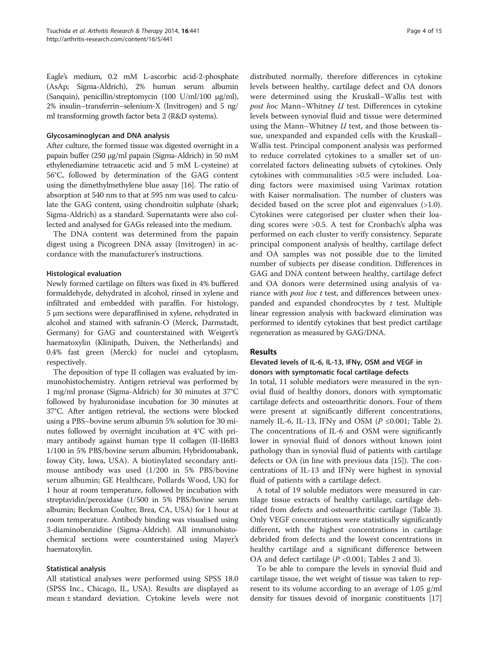Eagle's medium, 0.2 mM L-ascorbic acid-2-phosphate (AsAp; Sigma-Aldrich), 2% human serum albumin (Sanquin), penicillin/streptomycin (100 U/ml/100 μg/ml), 2% insulin–transferrin–selenium-X (Invitrogen) and 5 ng/ ml transforming growth factor beta 2 (R&D systems).

#### Glycosaminoglycan and DNA analysis

After culture, the formed tissue was digested overnight in a papain buffer (250 μg/ml papain (Sigma-Aldrich) in 50 mM ethylenediamine tetraacetic acid and 5 mM L-cysteine) at 56°C, followed by determination of the GAG content using the dimethylmethylene blue assay [[16](#page-13-0)]. The ratio of absorption at 540 nm to that at 595 nm was used to calculate the GAG content, using chondroitin sulphate (shark; Sigma-Aldrich) as a standard. Supernatants were also collected and analysed for GAGs released into the medium.

The DNA content was determined from the papain digest using a Picogreen DNA assay (Invitrogen) in accordance with the manufacturer's instructions.

## Histological evaluation

Newly formed cartilage on filters was fixed in 4% buffered formaldehyde, dehydrated in alcohol, rinsed in xylene and infiltrated and embedded with paraffin. For histology, 5 μm sections were deparaffinised in xylene, rehydrated in alcohol and stained with safranin-O (Merck, Darmstadt, Germany) for GAG and counterstained with Weigert's haematoxylin (Klinipath, Duiven, the Netherlands) and 0.4% fast green (Merck) for nuclei and cytoplasm, respectively.

The deposition of type II collagen was evaluated by immunohistochemistry. Antigen retrieval was performed by 1 mg/ml pronase (Sigma-Aldrich) for 30 minutes at 37°C followed by hyaluronidase incubation for 30 minutes at 37°C. After antigen retrieval, the sections were blocked using a PBS–bovine serum albumin 5% solution for 30 minutes followed by overnight incubation at 4°C with primary antibody against human type II collagen (II-II6B3 1/100 in 5% PBS/bovine serum albumin; Hybridomabank, Ioway City, Iowa, USA). A biotinylated secondary antimouse antibody was used (1/200 in 5% PBS/bovine serum albumin; GE Healthcare, Pollards Wood, UK) for 1 hour at room temperature, followed by incubation with streptavidin/peroxidase (1/500 in 5% PBS/bovine serum albumin; Beckman Coulter, Brea, CA, USA) for 1 hour at room temperature. Antibody binding was visualised using 3-diaminobenzidine (Sigma-Aldrich). All immunohistochemical sections were counterstained using Mayer's haematoxylin.

## Statistical analysis

All statistical analyses were performed using SPSS 18.0 (SPSS Inc., Chicago, IL, USA). Results are displayed as mean ± standard deviation. Cytokine levels were not

distributed normally, therefore differences in cytokine levels between healthy, cartilage defect and OA donors were determined using the Kruskall–Wallis test with post hoc Mann–Whitney U test. Differences in cytokine levels between synovial fluid and tissue were determined using the Mann–Whitney  $U$  test, and those between tissue, unexpanded and expanded cells with the Kruskall– Wallis test. Principal component analysis was performed to reduce correlated cytokines to a smaller set of uncorrelated factors delineating subsets of cytokines. Only cytokines with communalities >0.5 were included. Loading factors were maximised using Varimax rotation with Kaiser normalisation. The number of clusters was decided based on the scree plot and eigenvalues (>1.0). Cytokines were categorised per cluster when their loading scores were >0.5. A test for Cronbach's alpha was performed on each cluster to verify consistency. Separate principal component analysis of healthy, cartilage defect and OA samples was not possible due to the limited number of subjects per disease condition. Differences in GAG and DNA content between healthy, cartilage defect and OA donors were determined using analysis of variance with *post hoc t* test, and differences between unexpanded and expanded chondrocytes by  $t$  test. Multiple linear regression analysis with backward elimination was performed to identify cytokines that best predict cartilage regeneration as measured by GAG/DNA.

## Results

## Elevated levels of IL-6, IL-13, IFNγ, OSM and VEGF in donors with symptomatic focal cartilage defects

In total, 11 soluble mediators were measured in the synovial fluid of healthy donors, donors with symptomatic cartilage defects and osteoarthritic donors. Four of them were present at significantly different concentrations, namely IL-6, IL-13, IFNy and OSM ( $P \le 0.001$ ; Table [2](#page-4-0)). The concentrations of IL-6 and OSM were significantly lower in synovial fluid of donors without known joint pathology than in synovial fluid of patients with cartilage defects or OA (in line with previous data [[15](#page-13-0)]). The concentrations of IL-13 and IFNγ were highest in synovial fluid of patients with a cartilage defect.

A total of 19 soluble mediators were measured in cartilage tissue extracts of healthy cartilage, cartilage debrided from defects and osteoarthritic cartilage (Table [3](#page-5-0)). Only VEGF concentrations were statistically significantly different, with the highest concentrations in cartilage debrided from defects and the lowest concentrations in healthy cartilage and a significant difference between OA and defect cartilage ( $P < 0.001$ ; Tables [2](#page-4-0) and [3](#page-5-0)).

To be able to compare the levels in synovial fluid and cartilage tissue, the wet weight of tissue was taken to represent to its volume according to an average of 1.05 g/ml density for tissues devoid of inorganic constituents [[17](#page-13-0)]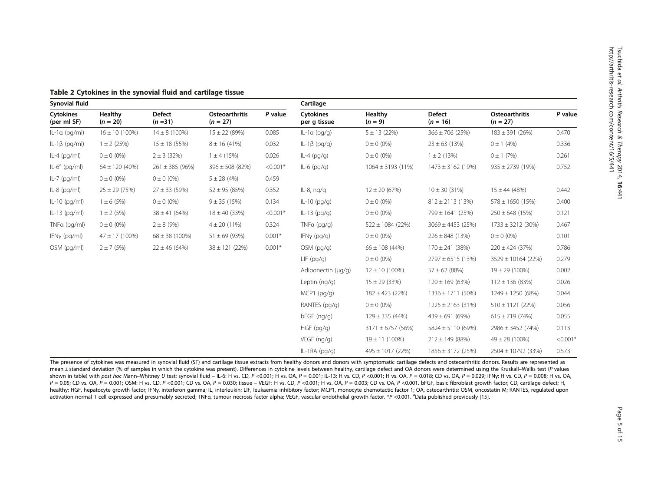:441

| Synovial fluid                  |                              |                           |                                     |            | Cartilage                        |                       |                             |                                     |            |
|---------------------------------|------------------------------|---------------------------|-------------------------------------|------------|----------------------------------|-----------------------|-----------------------------|-------------------------------------|------------|
| <b>Cytokines</b><br>(per ml SF) | <b>Healthy</b><br>$(n = 20)$ | <b>Defect</b><br>$(n=31)$ | <b>Osteoarthritis</b><br>$(n = 27)$ | P value    | <b>Cytokines</b><br>per g tissue | Healthy<br>$(n = 9)$  | <b>Defect</b><br>$(n = 16)$ | <b>Osteoarthritis</b><br>$(n = 27)$ | P value    |
| $ L-1\alpha$ (pg/ml)            | $16 \pm 10$ (100%)           | $14 \pm 8$ (100%)         | $15 \pm 22$ (89%)                   | 0.085      | $IL-Ia (pg/q)$                   | $5 \pm 13$ (22%)      | $366 \pm 706$ (25%)         | $183 \pm 391$ (26%)                 | 0.470      |
| $IL-1\beta$ (pg/ml)             | $1 \pm 2$ (25%)              | $15 \pm 18$ (55%)         | $8 \pm 16$ (41%)                    | 0.032      | $IL-1\beta$ (pg/g)               | $0 \pm 0$ (0%)        | $23 \pm 63$ (13%)           | $0 \pm 1$ (4%)                      | 0.336      |
| $IL-4$ (pg/ml)                  | $0 \pm 0$ (0%)               | $2 \pm 3$ (32%)           | $1 \pm 4$ (15%)                     | 0.026      | $IL-4$ (pg/g)                    | $0 \pm 0$ (0%)        | $1 \pm 2$ (13%)             | $0 \pm 1 (7\%)$                     | 0.261      |
| $IL-6a$ (pg/ml)                 | $64 \pm 120$ (40%)           | $261 \pm 385$ (96%)       | $396 \pm 508$ (82%)                 | $< 0.001*$ | $IL-6$ (pg/g)                    | $1064 \pm 3193$ (11%) | $1473 \pm 3162$ (19%)       | $935 \pm 2739$ (19%)                | 0.752      |
| $IL-7$ (pg/ml)                  | $0 \pm 0$ (0%)               | $0 \pm 0$ (0%)            | $5 \pm 28$ (4%)                     | 0.459      |                                  |                       |                             |                                     |            |
| $IL-8$ (pg/ml)                  | $25 \pm 29$ (75%)            | $27 \pm 33$ (59%)         | $52 \pm 95$ (85%)                   | 0.352      | $IL-8$ , ng/g                    | $12 \pm 20 (67%)$     | $10 \pm 30$ (31%)           | $15 \pm 44$ (48%)                   | 0.442      |
| $IL-10$ (pg/ml)                 | $1 \pm 6$ (5%)               | $0 \pm 0$ (0%)            | $9 \pm 35(15\%)$                    | 0.134      | IL-10 (pg/g)                     | $0 \pm 0$ (0%)        | $812 \pm 2113(13\%)$        | $578 \pm 1650$ (15%)                | 0.400      |
| $IL-13$ (pg/ml)                 | $1 \pm 2(5%)$                | $38 \pm 41 (64%)$         | $18 \pm 40$ (33%)                   | $< 0.001*$ | $IL-13$ (pg/g)                   | $0 \pm 0$ (0%)        | $799 \pm 1641$ (25%)        | $250 \pm 648$ (15%)                 | 0.121      |
| TNFa (pg/ml)                    | $0 \pm 0$ (0%)               | $2 \pm 8$ (9%)            | $4 \pm 20$ (11%)                    | 0.324      | TNF $\alpha$ (pg/g)              | $522 \pm 1084$ (22%)  | $3069 \pm 4453$ (25%)       | $1733 \pm 3212$ (30%)               | 0.467      |
| $IFNy$ (pg/ml)                  | $47 \pm 17$ (100%)           | $68 \pm 38$ (100%)        | $51 \pm 69$ (93%)                   | $0.001*$   | IFN $\gamma$ (pg/g)              | $0 \pm 0$ (0%)        | $226 \pm 848$ (13%)         | $0 \pm 0$ (0%)                      | 0.101      |
| OSM (pg/ml)                     | $2 \pm 7(5%)$                | $22 \pm 46$ (64%)         | $38 \pm 121$ (22%)                  | $0.001*$   | $OSM$ (pg/g)                     | $66 \pm 108$ (44%)    | $170 \pm 241$ (38%)         | $220 \pm 424$ (37%)                 | 0.786      |
|                                 |                              |                           |                                     |            | $LIF$ (pg/g)                     | $0 \pm 0$ (0%)        | $2797 \pm 6515$ (13%)       | $3529 \pm 10164$ (22%)              | 0.279      |
|                                 |                              |                           |                                     |            | Adiponectin (µg/g)               | $12 \pm 10$ (100%)    | $57 \pm 62$ (88%)           | $19 \pm 29$ (100%)                  | 0.002      |
|                                 |                              |                           |                                     |            | Leptin (ng/g)                    | $15 \pm 29$ (33%)     | $120 \pm 169$ (63%)         | $112 \pm 136$ (83%)                 | 0.026      |
|                                 |                              |                           |                                     |            | MCP1 (pg/g)                      | $182 \pm 423$ (22%)   | $1336 \pm 1711$ (50%)       | 1249 ± 1250 (68%)                   | 0.044      |
|                                 |                              |                           |                                     |            | RANTES (pg/g)                    | $0 \pm 0$ (0%)        | $1225 \pm 2163$ (31%)       | $510 \pm 1121$ (22%)                | 0.056      |
|                                 |                              |                           |                                     |            | $bf GF$ (ng/g)                   | $129 \pm 335 (44%)$   | $439 \pm 691$ (69%)         | $615 \pm 719$ (74%)                 | 0.055      |
|                                 |                              |                           |                                     |            | HGF (pg/g)                       | $3171 \pm 6757$ (56%) | $5824 \pm 5110 (69\%)$      | $2986 \pm 3452(74\%)$               | 0.113      |
|                                 |                              |                           |                                     |            | VEGF (ng/g)                      | $19 \pm 11$ (100%)    | $212 \pm 149$ (88%)         | $49 \pm 28$ (100%)                  | $< 0.001*$ |
|                                 |                              |                           |                                     |            | IL-1RA (pg/g)                    | $495 \pm 1017$ (22%)  | $1856 \pm 3172$ (25%)       | 2504 ± 10792 (33%)                  | 0.573      |

#### <span id="page-4-0"></span>Table 2 Cytokines in the synovial fluid and cartilage tissue

The presence of cytokines was measured in synovial fluid (SF) and cartilage tissue extracts from healthy donors and donors with symptomatic cartilage defects and osteoarthritic donors. Results are represented as mean ± standard deviation (% of samples in which the cytokine was present). Differences in cytokine levels between healthy, cartilage defect and OA donors were determined using the Kruskall–Wallis test (P values shown in table) with post hoc Mann-Whitney U test: synovial fluid – IL-6: H vs. CD, P <0.001; H vs. OA, P = 0.001; IL-13: H vs. CD, P <0.001; H vs. CD, P <0.001; H vs. CO, P <0.001; H vs. CO, P = 0.001; H vs. CO, P = 0.00  $P = 0.05$ ; CD vs. OA,  $P = 0.001$ ; OSM: H vs. CD, P <0.001; CD vs. OA, P = 0.030; tissue – VEGF: H vs. CD, P <0.001; H vs. OA, P = 0.003; CD vs. OA, P = 0.003; CD vs. OA, P <0.001. bFGF, basic fibroblast growth factor; CD, healthy; HGF, hepatocyte growth factor; IFNy, interferon gamma; IL, interleukin; LIF, leukaemia inhibitory factor; MCP1, monocyte chemotactic factor 1; OA, osteoarthritis; OSM, oncostatin M; RANTES, regulated upon activation normal T cell expressed and presumably secreted; TNFa, tumour necrosis factor alpha; VEGF, vascular endothelial growth factor. \*P <0.001. <sup>a</sup>Data published previously [[15](#page-13-0)].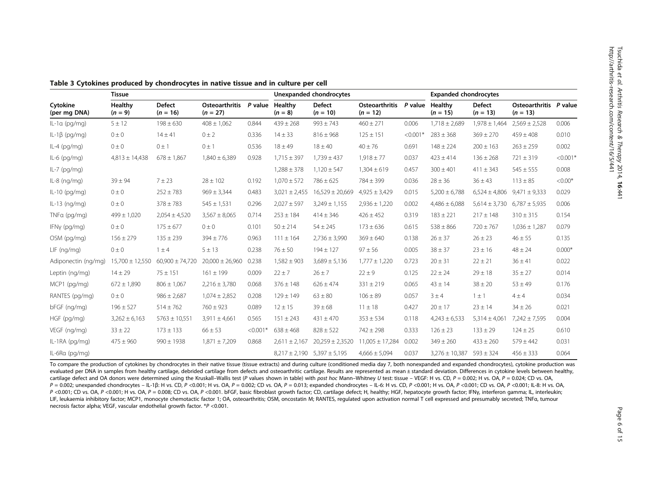|                          | <b>Tissue</b>               |                             |                              |            | Unexpanded chondrocytes |                             |                              | <b>Expanded chondrocytes</b> |                       |                             |                                      |            |
|--------------------------|-----------------------------|-----------------------------|------------------------------|------------|-------------------------|-----------------------------|------------------------------|------------------------------|-----------------------|-----------------------------|--------------------------------------|------------|
| Cytokine<br>(per mg DNA) | <b>Healthy</b><br>$(n = 9)$ | <b>Defect</b><br>$(n = 16)$ | Osteoarthritis<br>$(n = 27)$ | P value    | Healthy<br>$(n = 8)$    | <b>Defect</b><br>$(n = 10)$ | Osteoarthritis<br>$(n = 12)$ | P value                      | Healthy<br>$(n = 15)$ | <b>Defect</b><br>$(n = 13)$ | Osteoarthritis P value<br>$(n = 13)$ |            |
| $IL-Ia (pq/mq)$          | 5 ± 12                      | $198 \pm 630$               | $408 \pm 1,062$              | 0.844      | $439 \pm 268$           | $993 \pm 743$               | $460 \pm 271$                | 0.006                        | $1,718 \pm 2,689$     | $1,978 \pm 1,464$           | $2,569 \pm 2,528$                    | 0.006      |
| $IL-1\beta$ (pg/mg)      | $0 \pm 0$                   | $14 \pm 41$                 | $0 \pm 2$                    | 0.336      | $14 \pm 33$             | $816 \pm 968$               | $125 \pm 151$                | $< 0.001*$                   | $283 \pm 368$         | $369 \pm 270$               | $459 \pm 408$                        | 0.010      |
| $IL-4$ (pg/mg)           | $0 \pm 0$                   | $0 \pm 1$                   | $0 \pm 1$                    | 0.536      | $18 + 49$               | $18 \pm 40$                 | $40 \pm 76$                  | 0.691                        | $148 \pm 224$         | $200 \pm 163$               | $263 \pm 259$                        | 0.002      |
| $IL-6$ (pg/mg)           | $4,813 \pm 14,438$          | $678 \pm 1,867$             | $1,840 \pm 6,389$            | 0.928      | $1,715 \pm 397$         | $1,739 \pm 437$             | $1,918 \pm 77$               | 0.037                        | $423 \pm 414$         | $136 \pm 268$               | $721 \pm 319$                        | $< 0.001*$ |
| $IL-7$ (pg/mg)           |                             |                             |                              |            | $1.288 \pm 378$         | $1,120 \pm 547$             | $1.304 \pm 619$              | 0.457                        | $300 \pm 401$         | $411 \pm 343$               | $545 \pm 555$                        | 0.008      |
| $IL-8$ (ng/mg)           | $39 \pm 94$                 | $7 + 23$                    | $28 \pm 102$                 | 0.192      | $1,070 \pm 572$         | $786 \pm 625$               | 784 ± 399                    | 0.036                        | $28 \pm 36$           | $36 \pm 43$                 | $113 \pm 85$                         | $< 0.00*$  |
| $IL-10$ (pg/mg)          | $0 \pm 0$                   | $252 \pm 783$               | $969 \pm 3,344$              | 0.483      | $3,021 \pm 2,455$       | $16,529 \pm 20,669$         | $4,925 \pm 3,429$            | 0.015                        | $5,200 \pm 6,788$     | $6,524 \pm 4,806$           | $9,471 \pm 9,333$                    | 0.029      |
| $IL-13$ (ng/mg)          | $0\pm 0$                    | $378 \pm 783$               | $545 \pm 1,531$              | 0.296      | $2.027 \pm 597$         | $3,249 \pm 1,155$           | $2,936 \pm 1,220$            | 0.002                        | $4,486 \pm 6,088$     | $5.614 \pm 3.730$           | $6,787 \pm 5,935$                    | 0.006      |
| TNFa (pg/mg)             | $499 \pm 1,020$             | $2,054 \pm 4,520$           | $3,567 \pm 8,065$            | 0.714      | $253 \pm 184$           | $414 \pm 346$               | $426 \pm 452$                | 0.319                        | $183 \pm 221$         | $217 \pm 148$               | $310 \pm 315$                        | 0.154      |
| IFNy (pq/mq)             | $0 \pm 0$                   | $175 \pm 677$               | $0 \pm 0$                    | 0.101      | $50 \pm 214$            | $54 \pm 245$                | $173 \pm 636$                | 0.615                        | $538 \pm 866$         | $720 \pm 767$               | $1,036 \pm 1,287$                    | 0.079      |
| OSM (pg/mg)              | $156 \pm 279$               | $135 \pm 239$               | $394 \pm 776$                | 0.963      | $111 \pm 164$           | $2,736 \pm 3,990$           | $369 \pm 640$                | 0.138                        | $26 \pm 37$           | $26 \pm 23$                 | $46 \pm 55$                          | 0.135      |
| $LIF$ (ng/mg)            | $0 \pm 0$                   | $1 \pm 4$                   | 5 ± 13                       | 0.238      | $76 \pm 50$             | $194 \pm 127$               | $97 \pm 56$                  | 0.005                        | $38 \pm 37$           | $23 \pm 16$                 | $48 \pm 24$                          | $0.000*$   |
| Adiponectin (ng/mg)      | $15,700 \pm 12,550$         | $60,900 \pm 74,720$         | $20,000 \pm 26,960$          | 0.238      | $1,582 \pm 903$         | $3,689 \pm 5,136$           | $1,777 \pm 1,220$            | 0.723                        | $20 \pm 31$           | $22 \pm 21$                 | $36 \pm 41$                          | 0.022      |
| Leptin (ng/mg)           | $14 \pm 29$                 | $75 \pm 151$                | $161 \pm 199$                | 0.009      | $22 \pm 7$              | $26 \pm 7$                  | $22 \pm 9$                   | 0.125                        | $22 \pm 24$           | $29 \pm 18$                 | $35 \pm 27$                          | 0.014      |
| MCP1 (pg/mg)             | $672 \pm 1,890$             | $806 \pm 1,067$             | $2,216 \pm 3,780$            | 0.068      | $376 \pm 148$           | $626 \pm 474$               | $331 \pm 219$                | 0.065                        | $43 \pm 14$           | $38 \pm 20$                 | $53 \pm 49$                          | 0.176      |
| RANTES (pg/mg)           | $0 \pm 0$                   | $986 \pm 2,687$             | $1,074 \pm 2,852$            | 0.208      | $129 \pm 149$           | $63 \pm 80$                 | $106 \pm 89$                 | 0.057                        | 3±4                   | $1 \pm 1$                   | $4 \pm 4$                            | 0.034      |
| bFGF (ng/mg)             | $196 \pm 527$               | $514 \pm 762$               | $760 \pm 923$                | 0.089      | $12 \pm 15$             | $39 \pm 68$                 | $11 \pm 18$                  | 0.427                        | $20 \pm 17$           | $23 \pm 14$                 | $34 \pm 26$                          | 0.021      |
| HGF (pg/mg)              | $3,262 \pm 6,163$           | $5763 \pm 10,551$           | $3,911 \pm 4,661$            | 0.565      | $151 \pm 243$           | $431 \pm 470$               | $353 \pm 534$                | 0.118                        | $4,243 \pm 6,533$     | $5,314 \pm 4,061$           | $7,242 \pm 7,595$                    | 0.004      |
| VEGF (ng/mg)             | $33 \pm 22$                 | $173 \pm 133$               | $66 \pm 53$                  | $< 0.001*$ | $638 \pm 468$           | $828 \pm 522$               | $742 \pm 298$                | 0.333                        | $126 \pm 23$          | $133 \pm 29$                | $124 \pm 25$                         | 0.610      |
| IL-1RA (pg/mg)           | $475 \pm 960$               | $990 \pm 1938$              | $1,871 \pm 7,209$            | 0.868      | $2,611 \pm 2,167$       | $20,259 \pm 2,3520$         | $11,005 \pm 17,284$          | 0.002                        | $349 \pm 260$         | $433 \pm 260$               | $579 \pm 442$                        | 0.031      |
| IL-6Ra (pg/mg)           |                             |                             |                              |            | $8,217 \pm 2,190$       | $5,397 \pm 5,195$           | $4,666 \pm 5,094$            | 0.037                        | $3,276 \pm 10,387$    | $593 \pm 324$               | $456 \pm 333$                        | 0.064      |

<span id="page-5-0"></span>Table 3 Cytokines produced by chondrocytes in native tissue and in culture per cell

To compare the production of cytokines by chondrocytes in their native tissue (tissue extracts) and during culture (conditioned media day 7, both nonexpanded and expanded chondrocytes), cytokine production was evaluated per DNA in samples from healthy cartilage, debrided cartilage from defects and osteoarthritic cartilage. Results are represented as mean ± standard deviation. Differences in cytokine levels between healthy, cartilage defect and OA donors were determined using the Kruskall–Wallis test (P values shown in table) with post hoc Mann–Whitney U test: tissue – VEGF: H vs. CD,  $P = 0.002$ ; H vs. OA,  $P = 0.024$ ; CD vs. OA,  $P = 0.002$ ; unexpanded chondrocytes – IL-1β: H vs. CD, P <0.001; H vs. OA, P = 0.002; CD vs. OA, P = 0.013; expanded chondrocytes – IL-6: H vs. CD, P <0.001; H vs. OA, P <0.001; CD vs. OA, P <0.001; IL-8: H vs. OA, P <0.0 P <0.001; CD vs. OA, P <0.001; H vs. OA, P = 0.008; CD vs. OA, P <0.001. bFGF, basic fibroblast growth factor; CD, cartilage defect; H, healthy; HGF, hepatocyte growth factor; IFNy, interferon gamma; IL, interleukin; LIF, leukaemia inhibitory factor; MCP1, monocyte chemotactic factor 1; OA, osteoarthritis; OSM, oncostatin M; RANTES, regulated upon activation normal T cell expressed and presumably secreted; TNFa, tumour necrosis factor alpha; VEGF, vascular endothelial growth factor. \*P <0.001.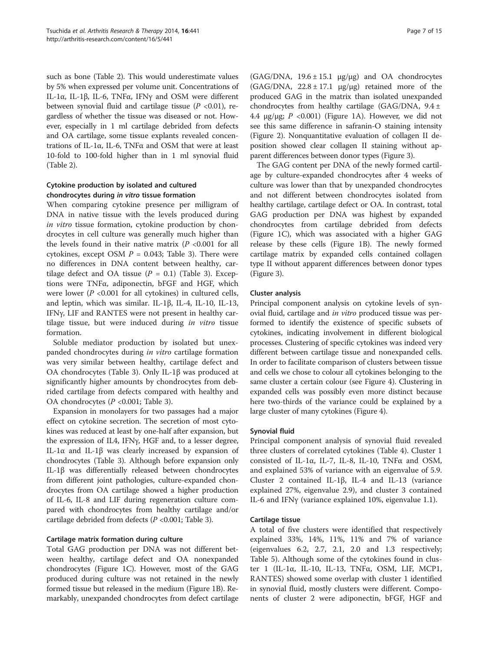such as bone (Table [2](#page-4-0)). This would underestimate values by 5% when expressed per volume unit. Concentrations of IL-1α, IL-1β, IL-6, TNFα, IFNγ and OSM were different between synovial fluid and cartilage tissue ( $P < 0.01$ ), regardless of whether the tissue was diseased or not. However, especially in 1 ml cartilage debrided from defects and OA cartilage, some tissue explants revealed concentrations of IL-1α, IL-6, TNFα and OSM that were at least 10-fold to 100-fold higher than in 1 ml synovial fluid (Table [2](#page-4-0)).

## Cytokine production by isolated and cultured chondrocytes during in vitro tissue formation

When comparing cytokine presence per milligram of DNA in native tissue with the levels produced during in vitro tissue formation, cytokine production by chondrocytes in cell culture was generally much higher than the levels found in their native matrix  $(P < 0.001$  for all cytokines, except OSM  $P = 0.043$ ; Table [3](#page-5-0)). There were no differences in DNA content between healthy, cartilage defect and OA tissue  $(P = 0.1)$  (Table [3](#page-5-0)). Exceptions were TNFα, adiponectin, bFGF and HGF, which were lower ( $P < 0.001$  for all cytokines) in cultured cells, and leptin, which was similar. IL-1β, IL-4, IL-10, IL-13, IFNγ, LIF and RANTES were not present in healthy cartilage tissue, but were induced during in vitro tissue formation.

Soluble mediator production by isolated but unexpanded chondrocytes during in vitro cartilage formation was very similar between healthy, cartilage defect and OA chondrocytes (Table [3](#page-5-0)). Only IL-1β was produced at significantly higher amounts by chondrocytes from debrided cartilage from defects compared with healthy and OA chondrocytes  $(P \le 0.001$ ; Table [3](#page-5-0)).

Expansion in monolayers for two passages had a major effect on cytokine secretion. The secretion of most cytokines was reduced at least by one-half after expansion, but the expression of IL4, IFNγ, HGF and, to a lesser degree, IL-1α and IL-1β was clearly increased by expansion of chondrocytes (Table [3](#page-5-0)). Although before expansion only IL-1β was differentially released between chondrocytes from different joint pathologies, culture-expanded chondrocytes from OA cartilage showed a higher production of IL-6, IL-8 and LIF during regeneration culture compared with chondrocytes from healthy cartilage and/or cartilage debrided from defects ( $P < 0.001$ ; Table [3\)](#page-5-0).

## Cartilage matrix formation during culture

Total GAG production per DNA was not different between healthy, cartilage defect and OA nonexpanded chondrocytes (Figure [1C](#page-7-0)). However, most of the GAG produced during culture was not retained in the newly formed tissue but released in the medium (Figure [1](#page-7-0)B). Remarkably, unexpanded chondrocytes from defect cartilage (GAG/DNA, 19.6 ± 15.1 μg/μg) and OA chondrocytes (GAG/DNA,  $22.8 \pm 17.1$  μg/μg) retained more of the produced GAG in the matrix than isolated unexpanded chondrocytes from healthy cartilage (GAG/DNA,  $9.4 \pm$ 4.4 μg/μg;  $P \le 0.001$ ) (Figure [1](#page-7-0)A). However, we did not see this same difference in safranin-O staining intensity (Figure [2](#page-8-0)). Nonquantitative evaluation of collagen II deposition showed clear collagen II staining without apparent differences between donor types (Figure [3](#page-8-0)).

The GAG content per DNA of the newly formed cartilage by culture-expanded chondrocytes after 4 weeks of culture was lower than that by unexpanded chondrocytes and not different between chondrocytes isolated from healthy cartilage, cartilage defect or OA. In contrast, total GAG production per DNA was highest by expanded chondrocytes from cartilage debrided from defects (Figure [1](#page-7-0)C), which was associated with a higher GAG release by these cells (Figure [1B](#page-7-0)). The newly formed cartilage matrix by expanded cells contained collagen type II without apparent differences between donor types (Figure [3](#page-8-0)).

## Cluster analysis

Principal component analysis on cytokine levels of synovial fluid, cartilage and in vitro produced tissue was performed to identify the existence of specific subsets of cytokines, indicating involvement in different biological processes. Clustering of specific cytokines was indeed very different between cartilage tissue and nonexpanded cells. In order to facilitate comparison of clusters between tissue and cells we chose to colour all cytokines belonging to the same cluster a certain colour (see Figure [4\)](#page-9-0). Clustering in expanded cells was possibly even more distinct because here two-thirds of the variance could be explained by a large cluster of many cytokines (Figure [4](#page-9-0)).

## Synovial fluid

Principal component analysis of synovial fluid revealed three clusters of correlated cytokines (Table [4\)](#page-9-0). Cluster 1 consisted of IL-1α, IL-7, IL-8, IL-10, TNFα and OSM, and explained 53% of variance with an eigenvalue of 5.9. Cluster 2 contained IL-1β, IL-4 and IL-13 (variance explained 27%, eigenvalue 2.9), and cluster 3 contained IL-6 and IFNγ (variance explained 10%, eigenvalue 1.1).

## Cartilage tissue

A total of five clusters were identified that respectively explained 33%, 14%, 11%, 11% and 7% of variance (eigenvalues 6.2, 2.7, 2.1, 2.0 and 1.3 respectively; Table [5](#page-10-0)). Although some of the cytokines found in cluster 1 (IL-1α, IL-10, IL-13, TNFα, OSM, LIF, MCP1, RANTES) showed some overlap with cluster 1 identified in synovial fluid, mostly clusters were different. Components of cluster 2 were adiponectin, bFGF, HGF and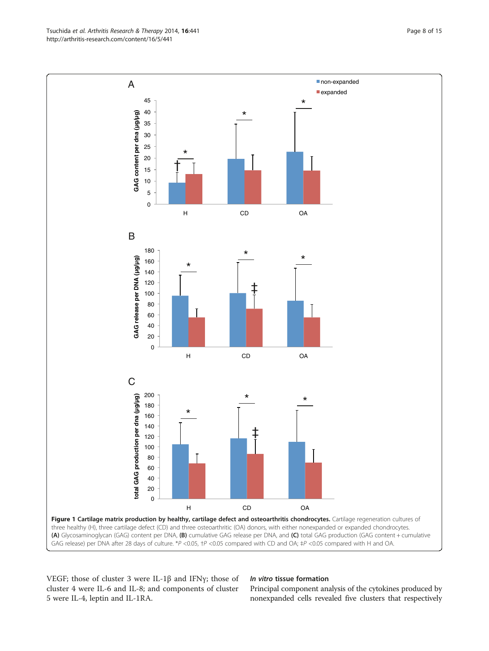VEGF; those of cluster 3 were IL-1β and IFNγ; those of cluster 4 were IL-6 and IL-8; and components of cluster 5 were IL-4, leptin and IL-1RA.

#### In vitro tissue formation

Principal component analysis of the cytokines produced by nonexpanded cells revealed five clusters that respectively

<span id="page-7-0"></span>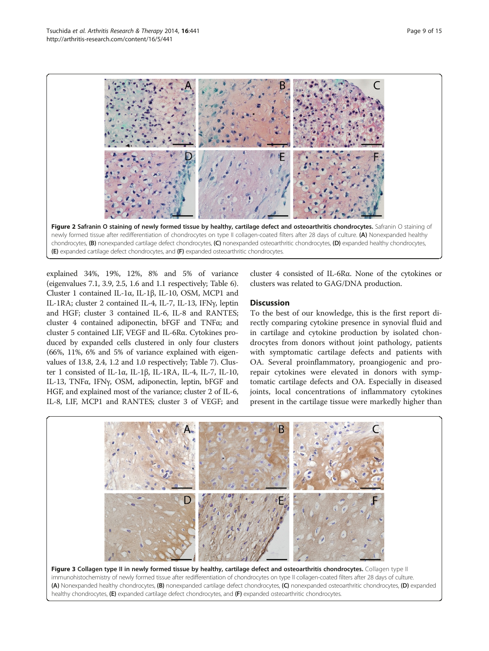<span id="page-8-0"></span>

explained 34%, 19%, 12%, 8% and 5% of variance (eigenvalues 7.1, 3.9, 2.5, 1.6 and 1.1 respectively; Table [6](#page-10-0)). Cluster 1 contained IL-1α, IL-1β, IL-10, OSM, MCP1 and IL-1RA; cluster 2 contained IL-4, IL-7, IL-13, IFNγ, leptin and HGF; cluster 3 contained IL-6, IL-8 and RANTES; cluster 4 contained adiponectin, bFGF and TNFα; and cluster 5 contained LIF, VEGF and IL-6Rα. Cytokines produced by expanded cells clustered in only four clusters (66%, 11%, 6% and 5% of variance explained with eigenvalues of 13.8, 2.4, 1.2 and 1.0 respectively; Table [7\)](#page-11-0). Cluster 1 consisted of IL-1α, IL-1β, IL-1RA, IL-4, IL-7, IL-10, IL-13, TNFα, IFNγ, OSM, adiponectin, leptin, bFGF and HGF, and explained most of the variance; cluster 2 of IL-6, IL-8, LIF, MCP1 and RANTES; cluster 3 of VEGF; and cluster 4 consisted of IL-6Rα. None of the cytokines or clusters was related to GAG/DNA production.

#### **Discussion**

To the best of our knowledge, this is the first report directly comparing cytokine presence in synovial fluid and in cartilage and cytokine production by isolated chondrocytes from donors without joint pathology, patients with symptomatic cartilage defects and patients with OA. Several proinflammatory, proangiogenic and prorepair cytokines were elevated in donors with symptomatic cartilage defects and OA. Especially in diseased joints, local concentrations of inflammatory cytokines present in the cartilage tissue were markedly higher than



immunohistochemistry of newly formed tissue after redifferentiation of chondrocytes on type II collagen-coated filters after 28 days of culture. (A) Nonexpanded healthy chondrocytes, (B) nonexpanded cartilage defect chondrocytes, (C) nonexpanded osteoarthritic chondrocytes, (D) expanded healthy chondrocytes, (E) expanded cartilage defect chondrocytes, and (F) expanded osteoarthritic chondrocytes.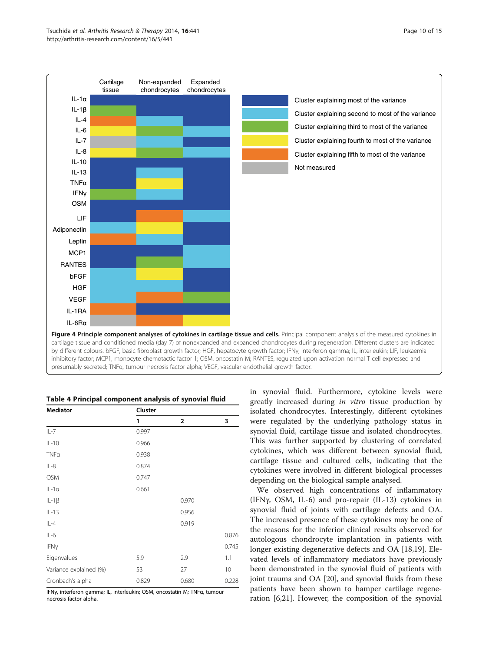<span id="page-9-0"></span>

inhibitory factor; MCP1, monocyte chemotactic factor 1; OSM, oncostatin M; RANTES, regulated upon activation normal T cell expressed and presumably secreted; TNFα, tumour necrosis factor alpha; VEGF, vascular endothelial growth factor.

|  |  | Table 4 Principal component analysis of synovial fluid |
|--|--|--------------------------------------------------------|
|--|--|--------------------------------------------------------|

| Mediator               | Cluster |                |       |  |  |  |
|------------------------|---------|----------------|-------|--|--|--|
|                        | 1       | $\overline{2}$ | 3     |  |  |  |
| $IL-7$                 | 0.997   |                |       |  |  |  |
| $IL-10$                | 0.966   |                |       |  |  |  |
| <b>TNFa</b>            | 0.938   |                |       |  |  |  |
| $IL-8$                 | 0.874   |                |       |  |  |  |
| <b>OSM</b>             | 0.747   |                |       |  |  |  |
| $IL-1a$                | 0.661   |                |       |  |  |  |
| $IL-1\beta$            |         | 0.970          |       |  |  |  |
| $IL-13$                |         | 0.956          |       |  |  |  |
| $IL-4$                 |         | 0.919          |       |  |  |  |
| $IL-6$                 |         |                | 0.876 |  |  |  |
| IFNy                   |         |                | 0.745 |  |  |  |
| Eigenvalues            | 5.9     | 2.9            | 1.1   |  |  |  |
| Variance explained (%) | 53      | 27             | 10    |  |  |  |
| Cronbach's alpha       | 0.829   | 0.680          | 0.228 |  |  |  |

IFNγ, interferon gamma; IL, interleukin; OSM, oncostatin M; TNFα, tumour necrosis factor alpha.

in synovial fluid. Furthermore, cytokine levels were greatly increased during in vitro tissue production by isolated chondrocytes. Interestingly, different cytokines were regulated by the underlying pathology status in synovial fluid, cartilage tissue and isolated chondrocytes. This was further supported by clustering of correlated cytokines, which was different between synovial fluid, cartilage tissue and cultured cells, indicating that the cytokines were involved in different biological processes depending on the biological sample analysed.

We observed high concentrations of inflammatory (IFNγ, OSM, IL-6) and pro-repair (IL-13) cytokines in synovial fluid of joints with cartilage defects and OA. The increased presence of these cytokines may be one of the reasons for the inferior clinical results observed for autologous chondrocyte implantation in patients with longer existing degenerative defects and OA [\[18,19](#page-13-0)]. Elevated levels of inflammatory mediators have previously been demonstrated in the synovial fluid of patients with joint trauma and OA [\[20](#page-13-0)], and synovial fluids from these patients have been shown to hamper cartilage regeneration [\[6](#page-13-0)[,21](#page-14-0)]. However, the composition of the synovial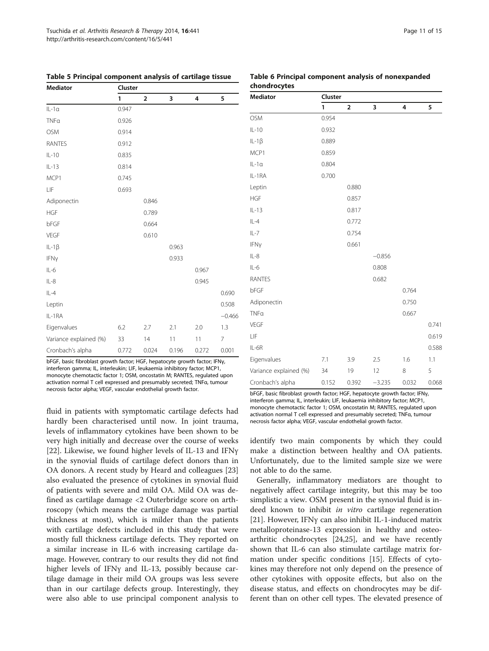| <b>Mediator</b>        | Cluster |       |       |       |          |  |  |  |
|------------------------|---------|-------|-------|-------|----------|--|--|--|
|                        | 1       | 2     | 3     | 4     | 5        |  |  |  |
| $IL-1a$                | 0.947   |       |       |       |          |  |  |  |
| TNFa                   | 0.926   |       |       |       |          |  |  |  |
| <b>OSM</b>             | 0.914   |       |       |       |          |  |  |  |
| <b>RANTES</b>          | 0.912   |       |       |       |          |  |  |  |
| $IL-10$                | 0.835   |       |       |       |          |  |  |  |
| $IL-13$                | 0.814   |       |       |       |          |  |  |  |
| MCP1                   | 0.745   |       |       |       |          |  |  |  |
| LIF                    | 0.693   |       |       |       |          |  |  |  |
| Adiponectin            |         | 0.846 |       |       |          |  |  |  |
| <b>HGF</b>             |         | 0.789 |       |       |          |  |  |  |
| bFGF                   |         | 0.664 |       |       |          |  |  |  |
| VEGF                   |         | 0.610 |       |       |          |  |  |  |
| $IL-1\beta$            |         |       | 0.963 |       |          |  |  |  |
| IFNy                   |         |       | 0.933 |       |          |  |  |  |
| $IL-6$                 |         |       |       | 0.967 |          |  |  |  |
| $IL-8$                 |         |       |       | 0.945 |          |  |  |  |
| $IL-4$                 |         |       |       |       | 0.690    |  |  |  |
| Leptin                 |         |       |       |       | 0.508    |  |  |  |
| IL-1RA                 |         |       |       |       | $-0.466$ |  |  |  |
| Eigenvalues            | 6.2     | 2.7   | 2.1   | 2.0   | 1.3      |  |  |  |
| Variance explained (%) | 33      | 14    | 11    | 11    | 7        |  |  |  |
| Cronbach's alpha       | 0.772   | 0.024 | 0.196 | 0.272 | 0.001    |  |  |  |

<span id="page-10-0"></span>Table 5 Principal component analysis of cartilage tissue

#### Table 6 Principal component analysis of nonexpanded chondrocytes

Mediator Cluster

|                        | 1     | $\overline{2}$ | 3        | 4     | 5     |
|------------------------|-------|----------------|----------|-------|-------|
| OSM                    | 0.954 |                |          |       |       |
| $IL-10$                | 0.932 |                |          |       |       |
| $IL-1\beta$            | 0.889 |                |          |       |       |
| MCP1                   | 0.859 |                |          |       |       |
| $IL-1a$                | 0.804 |                |          |       |       |
| IL-1RA                 | 0.700 |                |          |       |       |
| Leptin                 |       | 0.880          |          |       |       |
| HGF                    |       | 0.857          |          |       |       |
| $IL-13$                |       | 0.817          |          |       |       |
| $IL-4$                 |       | 0.772          |          |       |       |
| $IL-7$                 |       | 0.754          |          |       |       |
| IFNy                   |       | 0.661          |          |       |       |
| $IL-8$                 |       |                | $-0.856$ |       |       |
| $IL-6$                 |       |                | 0.808    |       |       |
| <b>RANTES</b>          |       |                | 0.682    |       |       |
| bFGF                   |       |                |          | 0.764 |       |
| Adiponectin            |       |                |          | 0.750 |       |
| TNFa                   |       |                |          | 0.667 |       |
| VEGF                   |       |                |          |       | 0.741 |
| LIF                    |       |                |          |       | 0.619 |
| IL-6R                  |       |                |          |       | 0.588 |
| Eigenvalues            | 7.1   | 3.9            | 2.5      | 1.6   | 1.1   |
| Variance explained (%) | 34    | 19             | 12       | 8     | 5     |
| Cronbach's alpha       | 0.152 | 0.392          | $-3.235$ | 0.032 | 0.068 |

bFGF, basic fibroblast growth factor; HGF, hepatocyte growth factor; IFNγ, interferon gamma; IL, interleukin; LIF, leukaemia inhibitory factor; MCP1, monocyte chemotactic factor 1; OSM, oncostatin M; RANTES, regulated upon activation normal T cell expressed and presumably secreted; TNFα, tumour necrosis factor alpha; VEGF, vascular endothelial growth factor.

fluid in patients with symptomatic cartilage defects had hardly been characterised until now. In joint trauma, levels of inflammatory cytokines have been shown to be very high initially and decrease over the course of weeks [[22\]](#page-14-0). Likewise, we found higher levels of IL-13 and IFNγ in the synovial fluids of cartilage defect donors than in OA donors. A recent study by Heard and colleagues [[23](#page-14-0)] also evaluated the presence of cytokines in synovial fluid of patients with severe and mild OA. Mild OA was defined as cartilage damage <2 Outerbridge score on arthroscopy (which means the cartilage damage was partial thickness at most), which is milder than the patients with cartilage defects included in this study that were mostly full thickness cartilage defects. They reported on a similar increase in IL-6 with increasing cartilage damage. However, contrary to our results they did not find higher levels of IFNγ and IL-13, possibly because cartilage damage in their mild OA groups was less severe than in our cartilage defects group. Interestingly, they were also able to use principal component analysis to bFGF, basic fibroblast growth factor; HGF, hepatocyte growth factor; IFNγ, interferon gamma; IL, interleukin; LIF, leukaemia inhibitory factor; MCP1, monocyte chemotactic factor 1; OSM, oncostatin M; RANTES, regulated upon activation normal T cell expressed and presumably secreted; TNFα, tumour necrosis factor alpha; VEGF, vascular endothelial growth factor.

identify two main components by which they could make a distinction between healthy and OA patients. Unfortunately, due to the limited sample size we were not able to do the same.

Generally, inflammatory mediators are thought to negatively affect cartilage integrity, but this may be too simplistic a view. OSM present in the synovial fluid is indeed known to inhibit *in vitro* cartilage regeneration [[21\]](#page-14-0). However, IFNγ can also inhibit IL-1-induced matrix metalloproteinase-13 expression in healthy and osteoarthritic chondrocytes [\[24,25\]](#page-14-0), and we have recently shown that IL-6 can also stimulate cartilage matrix formation under specific conditions [\[15\]](#page-13-0). Effects of cytokines may therefore not only depend on the presence of other cytokines with opposite effects, but also on the disease status, and effects on chondrocytes may be different than on other cell types. The elevated presence of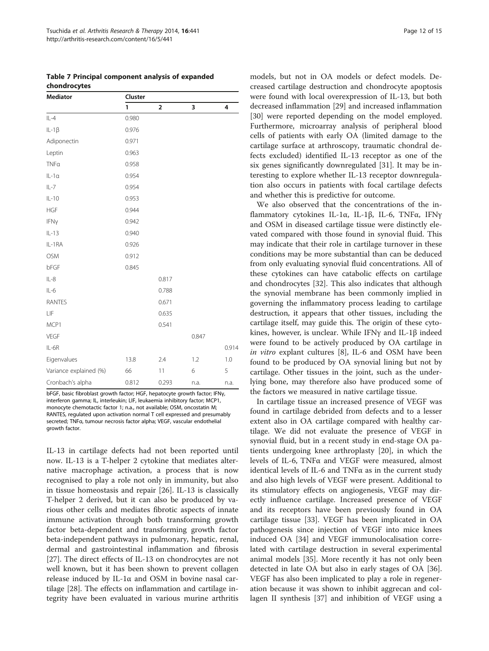<span id="page-11-0"></span>Table 7 Principal component analysis of expanded chondrocytes

| <b>Mediator</b>        | Cluster |       |       |       |  |  |  |  |
|------------------------|---------|-------|-------|-------|--|--|--|--|
|                        | 1       | 2     | 3     | 4     |  |  |  |  |
| $IL-4$                 | 0.980   |       |       |       |  |  |  |  |
| $IL-1\beta$            | 0.976   |       |       |       |  |  |  |  |
| Adiponectin            | 0.971   |       |       |       |  |  |  |  |
| Leptin                 | 0.963   |       |       |       |  |  |  |  |
| TNFa                   | 0.958   |       |       |       |  |  |  |  |
| $IL-1a$                | 0.954   |       |       |       |  |  |  |  |
| $IL-7$                 | 0.954   |       |       |       |  |  |  |  |
| $IL-10$                | 0.953   |       |       |       |  |  |  |  |
| <b>HGF</b>             | 0.944   |       |       |       |  |  |  |  |
| IFNy                   | 0.942   |       |       |       |  |  |  |  |
| $IL-13$                | 0.940   |       |       |       |  |  |  |  |
| IL-1RA                 | 0.926   |       |       |       |  |  |  |  |
| <b>OSM</b>             | 0.912   |       |       |       |  |  |  |  |
| bFGF                   | 0.845   |       |       |       |  |  |  |  |
| $IL-8$                 |         | 0.817 |       |       |  |  |  |  |
| $IL-6$                 |         | 0.788 |       |       |  |  |  |  |
| <b>RANTES</b>          |         | 0.671 |       |       |  |  |  |  |
| LIF                    |         | 0.635 |       |       |  |  |  |  |
| MCP1                   |         | 0.541 |       |       |  |  |  |  |
| VEGF                   |         |       | 0.847 |       |  |  |  |  |
| IL-6R                  |         |       |       | 0.914 |  |  |  |  |
| Eigenvalues            | 13.8    | 2.4   | 1.2   | 1.0   |  |  |  |  |
| Variance explained (%) | 66      | 11    | 6     | 5     |  |  |  |  |
| Cronbach's alpha       | 0.812   | 0.293 | n.a.  | n.a.  |  |  |  |  |

bFGF, basic fibroblast growth factor; HGF, hepatocyte growth factor; IFNγ, interferon gamma; IL, interleukin; LIF, leukaemia inhibitory factor; MCP1, monocyte chemotactic factor 1; n.a., not available; OSM, oncostatin M; RANTES, regulated upon activation normal T cell expressed and presumably secreted; TNFα, tumour necrosis factor alpha; VEGF, vascular endothelial growth factor.

IL-13 in cartilage defects had not been reported until now. IL-13 is a T-helper 2 cytokine that mediates alternative macrophage activation, a process that is now recognised to play a role not only in immunity, but also in tissue homeostasis and repair [[26\]](#page-14-0). IL-13 is classically T-helper 2 derived, but it can also be produced by various other cells and mediates fibrotic aspects of innate immune activation through both transforming growth factor beta-dependent and transforming growth factor beta-independent pathways in pulmonary, hepatic, renal, dermal and gastrointestinal inflammation and fibrosis [[27\]](#page-14-0). The direct effects of IL-13 on chondrocytes are not well known, but it has been shown to prevent collagen release induced by IL-1α and OSM in bovine nasal cartilage [[28\]](#page-14-0). The effects on inflammation and cartilage integrity have been evaluated in various murine arthritis

models, but not in OA models or defect models. Decreased cartilage destruction and chondrocyte apoptosis were found with local overexpression of IL-13, but both decreased inflammation [[29](#page-14-0)] and increased inflammation [[30\]](#page-14-0) were reported depending on the model employed. Furthermore, microarray analysis of peripheral blood cells of patients with early OA (limited damage to the cartilage surface at arthroscopy, traumatic chondral defects excluded) identified IL-13 receptor as one of the six genes significantly downregulated [[31\]](#page-14-0). It may be interesting to explore whether IL-13 receptor downregulation also occurs in patients with focal cartilage defects and whether this is predictive for outcome.

We also observed that the concentrations of the inflammatory cytokines IL-1α, IL-1β, IL-6, TNFα, IFNγ and OSM in diseased cartilage tissue were distinctly elevated compared with those found in synovial fluid. This may indicate that their role in cartilage turnover in these conditions may be more substantial than can be deduced from only evaluating synovial fluid concentrations. All of these cytokines can have catabolic effects on cartilage and chondrocytes [\[32](#page-14-0)]. This also indicates that although the synovial membrane has been commonly implied in governing the inflammatory process leading to cartilage destruction, it appears that other tissues, including the cartilage itself, may guide this. The origin of these cytokines, however, is unclear. While IFNγ and IL-1β indeed were found to be actively produced by OA cartilage in in vitro explant cultures [[8\]](#page-13-0), IL-6 and OSM have been found to be produced by OA synovial lining but not by cartilage. Other tissues in the joint, such as the underlying bone, may therefore also have produced some of the factors we measured in native cartilage tissue.

In cartilage tissue an increased presence of VEGF was found in cartilage debrided from defects and to a lesser extent also in OA cartilage compared with healthy cartilage. We did not evaluate the presence of VEGF in synovial fluid, but in a recent study in end-stage OA patients undergoing knee arthroplasty [[20\]](#page-13-0), in which the levels of IL-6, TNFα and VEGF were measured, almost identical levels of IL-6 and  $TNF\alpha$  as in the current study and also high levels of VEGF were present. Additional to its stimulatory effects on angiogenesis, VEGF may directly influence cartilage. Increased presence of VEGF and its receptors have been previously found in OA cartilage tissue [\[33\]](#page-14-0). VEGF has been implicated in OA pathogenesis since injection of VEGF into mice knees induced OA [\[34](#page-14-0)] and VEGF immunolocalisation correlated with cartilage destruction in several experimental animal models [\[35](#page-14-0)]. More recently it has not only been detected in late OA but also in early stages of OA [\[36](#page-14-0)]. VEGF has also been implicated to play a role in regeneration because it was shown to inhibit aggrecan and collagen II synthesis [[37](#page-14-0)] and inhibition of VEGF using a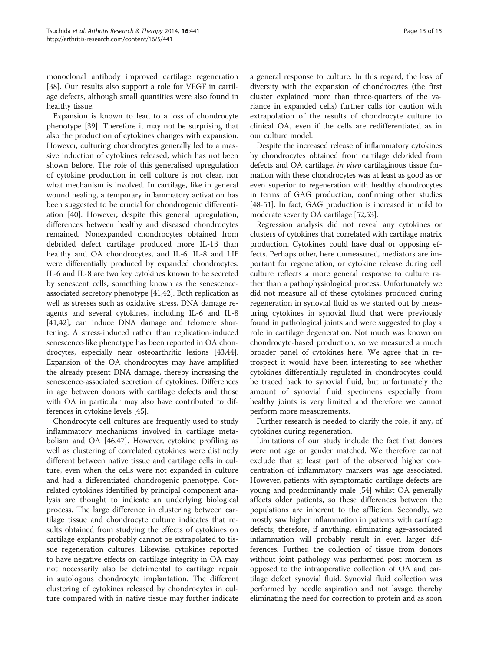monoclonal antibody improved cartilage regeneration [[38\]](#page-14-0). Our results also support a role for VEGF in cartilage defects, although small quantities were also found in healthy tissue.

Expansion is known to lead to a loss of chondrocyte phenotype [\[39](#page-14-0)]. Therefore it may not be surprising that also the production of cytokines changes with expansion. However, culturing chondrocytes generally led to a massive induction of cytokines released, which has not been shown before. The role of this generalised upregulation of cytokine production in cell culture is not clear, nor what mechanism is involved. In cartilage, like in general wound healing, a temporary inflammatory activation has been suggested to be crucial for chondrogenic differentiation [\[40](#page-14-0)]. However, despite this general upregulation, differences between healthy and diseased chondrocytes remained. Nonexpanded chondrocytes obtained from debrided defect cartilage produced more IL-1β than healthy and OA chondrocytes, and IL-6, IL-8 and LIF were differentially produced by expanded chondrocytes. IL-6 and IL-8 are two key cytokines known to be secreted by senescent cells, something known as the senescenceassociated secretory phenotype [\[41,42\]](#page-14-0). Both replication as well as stresses such as oxidative stress, DNA damage reagents and several cytokines, including IL-6 and IL-8 [[41,42](#page-14-0)], can induce DNA damage and telomere shortening. A stress-induced rather than replication-induced senescence-like phenotype has been reported in OA chondrocytes, especially near osteoarthritic lesions [\[43,44](#page-14-0)]. Expansion of the OA chondrocytes may have amplified the already present DNA damage, thereby increasing the senescence-associated secretion of cytokines. Differences in age between donors with cartilage defects and those with OA in particular may also have contributed to differences in cytokine levels [\[45\]](#page-14-0).

Chondrocyte cell cultures are frequently used to study inflammatory mechanisms involved in cartilage metabolism and OA [\[46,47\]](#page-14-0). However, cytokine profiling as well as clustering of correlated cytokines were distinctly different between native tissue and cartilage cells in culture, even when the cells were not expanded in culture and had a differentiated chondrogenic phenotype. Correlated cytokines identified by principal component analysis are thought to indicate an underlying biological process. The large difference in clustering between cartilage tissue and chondrocyte culture indicates that results obtained from studying the effects of cytokines on cartilage explants probably cannot be extrapolated to tissue regeneration cultures. Likewise, cytokines reported to have negative effects on cartilage integrity in OA may not necessarily also be detrimental to cartilage repair in autologous chondrocyte implantation. The different clustering of cytokines released by chondrocytes in culture compared with in native tissue may further indicate a general response to culture. In this regard, the loss of diversity with the expansion of chondrocytes (the first cluster explained more than three-quarters of the variance in expanded cells) further calls for caution with extrapolation of the results of chondrocyte culture to clinical OA, even if the cells are redifferentiated as in our culture model.

Despite the increased release of inflammatory cytokines by chondrocytes obtained from cartilage debrided from defects and OA cartilage, in vitro cartilaginous tissue formation with these chondrocytes was at least as good as or even superior to regeneration with healthy chondrocytes in terms of GAG production, confirming other studies [[48](#page-14-0)-[51\]](#page-14-0). In fact, GAG production is increased in mild to moderate severity OA cartilage [\[52,53\]](#page-14-0).

Regression analysis did not reveal any cytokines or clusters of cytokines that correlated with cartilage matrix production. Cytokines could have dual or opposing effects. Perhaps other, here unmeasured, mediators are important for regeneration, or cytokine release during cell culture reflects a more general response to culture rather than a pathophysiological process. Unfortunately we did not measure all of these cytokines produced during regeneration in synovial fluid as we started out by measuring cytokines in synovial fluid that were previously found in pathological joints and were suggested to play a role in cartilage degeneration. Not much was known on chondrocyte-based production, so we measured a much broader panel of cytokines here. We agree that in retrospect it would have been interesting to see whether cytokines differentially regulated in chondrocytes could be traced back to synovial fluid, but unfortunately the amount of synovial fluid specimens especially from healthy joints is very limited and therefore we cannot perform more measurements.

Further research is needed to clarify the role, if any, of cytokines during regeneration.

Limitations of our study include the fact that donors were not age or gender matched. We therefore cannot exclude that at least part of the observed higher concentration of inflammatory markers was age associated. However, patients with symptomatic cartilage defects are young and predominantly male [\[54\]](#page-14-0) whilst OA generally affects older patients, so these differences between the populations are inherent to the affliction. Secondly, we mostly saw higher inflammation in patients with cartilage defects; therefore, if anything, eliminating age-associated inflammation will probably result in even larger differences. Further, the collection of tissue from donors without joint pathology was performed post mortem as opposed to the intraoperative collection of OA and cartilage defect synovial fluid. Synovial fluid collection was performed by needle aspiration and not lavage, thereby eliminating the need for correction to protein and as soon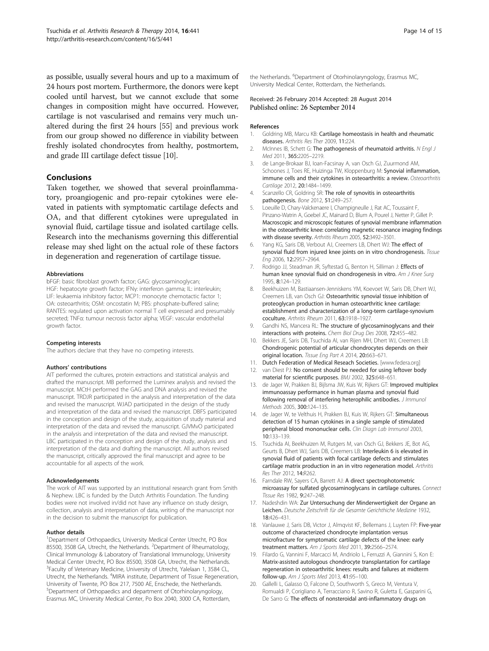<span id="page-13-0"></span>as possible, usually several hours and up to a maximum of 24 hours post mortem. Furthermore, the donors were kept cooled until harvest, but we cannot exclude that some changes in composition might have occurred. However, cartilage is not vascularised and remains very much unaltered during the first 24 hours [\[55\]](#page-14-0) and previous work from our group showed no difference in viability between freshly isolated chondrocytes from healthy, postmortem, and grade III cartilage defect tissue [10].

## Conclusions

Taken together, we showed that several proinflammatory, proangiogenic and pro-repair cytokines were elevated in patients with symptomatic cartilage defects and OA, and that different cytokines were upregulated in synovial fluid, cartilage tissue and isolated cartilage cells. Research into the mechanisms governing this differential release may shed light on the actual role of these factors in degeneration and regeneration of cartilage tissue.

#### Abbreviations

bFGF: basic fibroblast growth factor; GAG: glycosaminoglycan; HGF: hepatocyte growth factor; IFNγ: interferon gamma; IL: interleukin; LIF: leukaemia inhibitory factor; MCP1: monocyte chemotactic factor 1; OA: osteoarthritis; OSM: oncostatin M; PBS: phosphate-buffered saline; RANTES: regulated upon activation normal T cell expressed and presumably secreted; TNFα: tumour necrosis factor alpha; VEGF: vascular endothelial growth factor.

#### Competing interests

The authors declare that they have no competing interests.

#### Authors' contributions

AIT performed the cultures, protein extractions and statistical analysis and drafted the manuscript. MB performed the Luminex analysis and revised the manuscript. MCtH performed the GAG and DNA analysis and revised the manuscript. TRDJR participated in the analysis and interpretation of the data and revised the manuscript. WJAD participated in the design of the study and interpretation of the data and revised the manuscript. DBFS participated in the conception and design of the study, acquisition of study material and interpretation of the data and revised the manuscript. GJVMvO participated in the analysis and interpretation of the data and revised the manuscript. LBC participated in the conception and design of the study, analysis and interpretation of the data and drafting the manuscript. All authors revised the manuscript, critically approved the final manuscript and agree to be accountable for all aspects of the work.

#### Acknowledgements

The work of AIT was supported by an institutional research grant from Smith & Nephew. LBC is funded by the Dutch Arthritis Foundation. The funding bodies were not involved in/did not have any influence on study design, collection, analysis and interpretation of data, writing of the manuscript nor in the decision to submit the manuscript for publication.

#### Author details

<sup>1</sup>Department of Orthopaedics, University Medical Center Utrecht, PO Box 85500, 3508 GA, Utrecht, the Netherlands. <sup>2</sup>Department of Rheumatology, Clinical Immunology & Laboratory of Translational Immunology, University Medical Center Utrecht, PO Box 85500, 3508 GA, Utrecht, the Netherlands. <sup>3</sup>Faculty of Veterinary Medicine, University of Utrecht, Yalelaan 1, 3584 CL, Utrecht, the Netherlands. <sup>4</sup>MIRA institute, Department of Tissue Regeneration, University of Twente, PO Box 217, 7500 AE, Enschede, the Netherlands. 5 Department of Orthopaedics and department of Otorhinolaryngology, Erasmus MC, University Medical Center, Po Box 2040, 3000 CA, Rotterdam,

the Netherlands. <sup>6</sup>Department of Otorhinolaryngology, Erasmus MC, University Medical Center, Rotterdam, the Netherlands.

#### Received: 26 February 2014 Accepted: 28 August 2014 Published online: 26 September 2014

#### References

- 1. Goldring MB, Marcu KB: Cartilage homeostasis in health and rheumatic diseases. Arthritis Res Ther 2009, 11:224.
- 2. McInnes IB, Schett G: The pathogenesis of rheumatoid arthritis. N Engl J Med 2011, 365:2205–2219.
- 3. de Lange-Brokaar BJ, Ioan-Facsinay A, van Osch GJ, Zuurmond AM, Schoones J, Toes RE, Huizinga TW, Kloppenburg M: Synovial inflammation, immune cells and their cytokines in osteoarthritis: a review. Osteoarthritis Cartilage 2012, 20:1484–1499.
- Scanzello CR, Goldring SR: The role of synovitis in osteoarthritis pathogenesis. Bone 2012, 51:249–257.
- 5. Loeuille D, Chary-Valckenaere I, Champigneulle J, Rat AC, Toussaint F, Pinzano-Watrin A, Goebel JC, Mainard D, Blum A, Pourel J, Netter P, Gillet P: Macroscopic and microscopic features of synovial membrane inflammation in the osteoarthritic knee: correlating magnetic resonance imaging findings with disease severity. Arthritis Rheum 2005, 52:3492–3501.
- 6. Yang KG, Saris DB, Verbout AJ, Creemers LB, Dhert WJ: The effect of synovial fluid from injured knee joints on in vitro chondrogenesis. Tissue Eng 2006, 12:2957–2964.
- 7. Rodrigo JJ, Steadman JR, Syftestad G, Benton H, Silliman J: Effects of human knee synovial fluid on chondrogenesis in vitro. Am J Knee Surg 1995, 8:124–129.
- 8. Beekhuizen M, Bastiaansen-Jenniskens YM, Koevoet W, Saris DB, Dhert WJ, Creemers LB, van Osch GJ: Osteoarthritic synovial tissue inhibition of proteoglycan production in human osteoarthritic knee cartilage: establishment and characterization of a long-term cartilage-synovium coculture. Arthritis Rheum 2011, 63:1918–1927.
- Gandhi NS, Mancera RL: The structure of glycosaminoglycans and their interactions with proteins. Chem Biol Drug Des 2008, 72:455–482.
- 10. Bekkers JE, Saris DB, Tsuchida AI, van Rijen MH, Dhert WJ, Creemers LB: Chondrogenic potential of articular chondrocytes depends on their original location. Tissue Eng Part A 2014, 20:663–671.
- 11. Dutch Federation of Medical Reseach Societies. [\[www.federa.org](http://www.federa.org)]
- 12. van Diest PJ: No consent should be needed for using leftover body material for scientific purposes. BMJ 2002, 325:648–651.
- 13. de Jager W, Prakken BJ, Bijlsma JW, Kuis W, Rijkers GT: Improved multiplex immunoassay performance in human plasma and synovial fluid following removal of interfering heterophilic antibodies. J Immunol Methods 2005, 300:124–135.
- 14. de Jager W, te Velthuis H, Prakken BJ, Kuis W, Rijkers GT: Simultaneous detection of 15 human cytokines in a single sample of stimulated peripheral blood mononuclear cells. Clin Diagn Lab Immunol 2003, 10:133–139.
- 15. Tsuchida AI, Beekhuizen M, Rutgers M, van Osch GJ, Bekkers JE, Bot AG, Geurts B, Dhert WJ, Saris DB, Creemers LB: Interleukin 6 is elevated in synovial fluid of patients with focal cartilage defects and stimulates cartilage matrix production in an in vitro regeneration model. Arthritis Res Ther 2012, 14:R262.
- 16. Farndale RW, Sayers CA, Barrett AJ: A direct spectrophotometric microassay for sulfated glycosaminoglycans in cartilage cultures. Connect Tissue Res 1982, 9:247–248.
- 17. Nadeshdin WA: Zur Untersuchung der Minderwertigkeit der Organe an Leichen. Deutsche Zeitschrift für die Gesamte Gerichthiche Medizine 1932, 18:426–431.
- 18. Vanlauwe J, Saris DB, Victor J, Almqvist KF, Bellemans J, Luyten FP: Five-year outcome of characterized chondrocyte implantation versus microfracture for symptomatic cartilage defects of the knee: early treatment matters. Am J Sports Med 2011, 39:2566–2574.
- 19. Filardo G, Vannini F, Marcacci M, Andriolo L, Ferruzzi A, Giannini S, Kon E: Matrix-assisted autologous chondrocyte transplantation for cartilage regeneration in osteoarthritic knees: results and failures at midterm follow-up. Am J Sports Med 2013, 41:95–100.
- 20. Gallelli L, Galasso O, Falcone D, Southworth S, Greco M, Ventura V, Romualdi P, Corigliano A, Terracciano R, Savino R, Guletta E, Gasparini G, De Sarro G: The effects of nonsteroidal anti-inflammatory drugs on